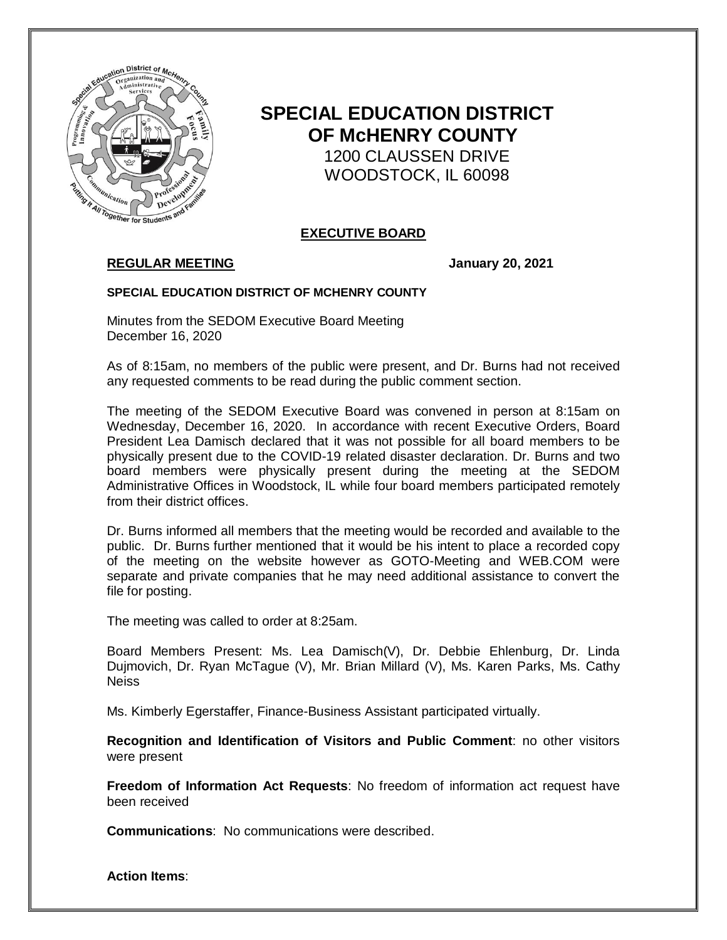

# **SPECIAL EDUCATION DISTRICT OF McHENRY COUNTY**

 1200 CLAUSSEN DRIVE WOODSTOCK, IL 60098

# **EXECUTIVE BOARD**

# **REGULAR MEETING January 20, 2021**

### **SPECIAL EDUCATION DISTRICT OF MCHENRY COUNTY**

Minutes from the SEDOM Executive Board Meeting December 16, 2020

As of 8:15am, no members of the public were present, and Dr. Burns had not received any requested comments to be read during the public comment section.

The meeting of the SEDOM Executive Board was convened in person at 8:15am on Wednesday, December 16, 2020. In accordance with recent Executive Orders, Board President Lea Damisch declared that it was not possible for all board members to be physically present due to the COVID-19 related disaster declaration. Dr. Burns and two board members were physically present during the meeting at the SEDOM Administrative Offices in Woodstock, IL while four board members participated remotely from their district offices.

Dr. Burns informed all members that the meeting would be recorded and available to the public. Dr. Burns further mentioned that it would be his intent to place a recorded copy of the meeting on the website however as GOTO-Meeting and WEB.COM were separate and private companies that he may need additional assistance to convert the file for posting.

The meeting was called to order at 8:25am.

Board Members Present: Ms. Lea Damisch(V), Dr. Debbie Ehlenburg, Dr. Linda Dujmovich, Dr. Ryan McTague (V), Mr. Brian Millard (V), Ms. Karen Parks, Ms. Cathy Neiss

Ms. Kimberly Egerstaffer, Finance-Business Assistant participated virtually.

**Recognition and Identification of Visitors and Public Comment**: no other visitors were present

**Freedom of Information Act Requests**: No freedom of information act request have been received

**Communications**: No communications were described.

**Action Items**: